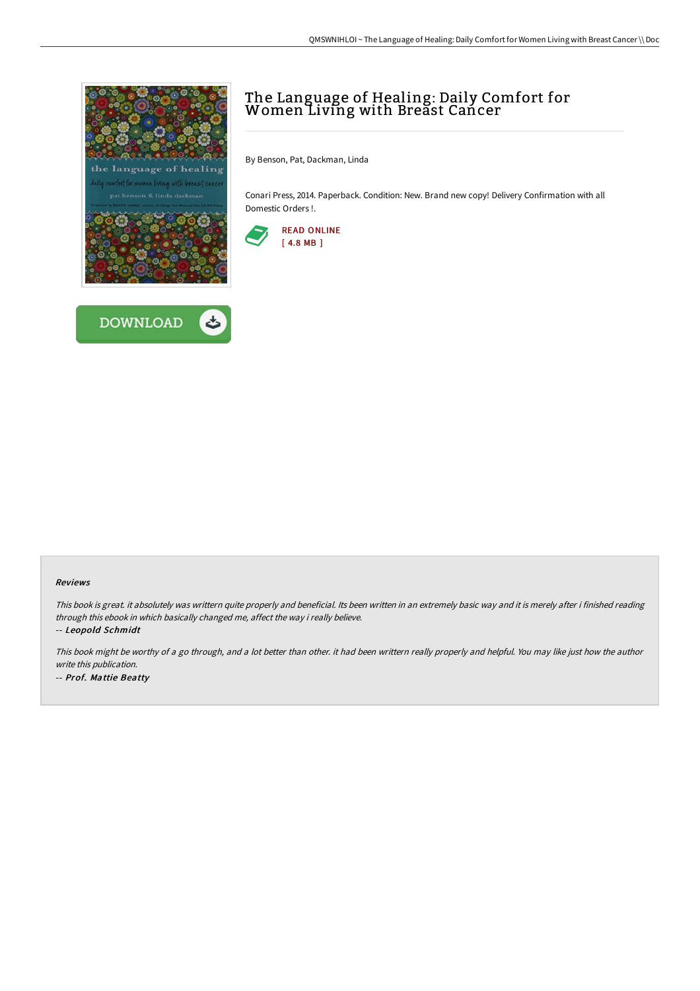



## The Language of Healing: Daily Comfort for Women Living with Breast Cancer

By Benson, Pat, Dackman, Linda

Conari Press, 2014. Paperback. Condition: New. Brand new copy! Delivery Confirmation with all Domestic Orders !.



## Reviews

This book is great. it absolutely was writtern quite properly and beneficial. Its been written in an extremely basic way and it is merely after i finished reading through this ebook in which basically changed me, affect the way i really believe.

-- Leopold Schmidt

This book might be worthy of <sup>a</sup> go through, and <sup>a</sup> lot better than other. it had been writtern really properly and helpful. You may like just how the author write this publication. -- Prof. Mattie Beatty